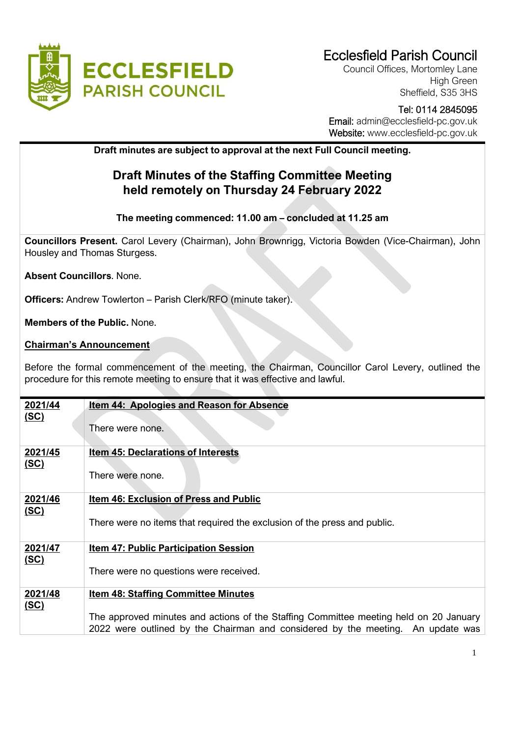

# Ecclesfield Parish Council

Council Offices, Mortomley Lane High Green Sheffield, S35 3HS

#### - Tel: 0114 2845095 Email: admin@ecclesfield-pc.gov.uk

Website: [www.ecclesfield-pc.gov.uk](http://www.ecclesfield-pc.gov.uk/)

## **Draft minutes are subject to approval at the next Full Council meeting.**

## **Draft Minutes of the Staffing Committee Meeting held remotely on Thursday 24 February 2022**

## **The meeting commenced: 11.00 am – concluded at 11.25 am**

**Councillors Present.** Carol Levery (Chairman), John Brownrigg, Victoria Bowden (Vice-Chairman), John Housley and Thomas Sturgess.

**Absent Councillors**. None.

**Officers:** Andrew Towlerton – Parish Clerk/RFO (minute taker).

**Members of the Public.** None.

### **Chairman's Announcement**

Before the formal commencement of the meeting, the Chairman, Councillor Carol Levery, outlined the procedure for this remote meeting to ensure that it was effective and lawful.

| 2021/44     | <u>Item 44: Apologies and Reason for Absence</u>                                      |
|-------------|---------------------------------------------------------------------------------------|
| <u>(SC)</u> |                                                                                       |
|             |                                                                                       |
|             | There were none.                                                                      |
|             |                                                                                       |
| 2021/45     | <b>Item 45: Declarations of Interests</b>                                             |
|             |                                                                                       |
| <u>(SC)</u> |                                                                                       |
|             | There were none.                                                                      |
|             |                                                                                       |
| 2021/46     | Item 46: Exclusion of Press and Public                                                |
|             |                                                                                       |
| (SC)        |                                                                                       |
|             | There were no items that required the exclusion of the press and public.              |
|             |                                                                                       |
| 2021/47     | <b>Item 47: Public Participation Session</b>                                          |
|             |                                                                                       |
| (SC)        |                                                                                       |
|             | There were no questions were received.                                                |
|             |                                                                                       |
| 2021/48     | <b>Item 48: Staffing Committee Minutes</b>                                            |
| (SC)        |                                                                                       |
|             |                                                                                       |
|             | The approved minutes and actions of the Staffing Committee meeting held on 20 January |
|             | 2022 were outlined by the Chairman and considered by the meeting. An update was       |